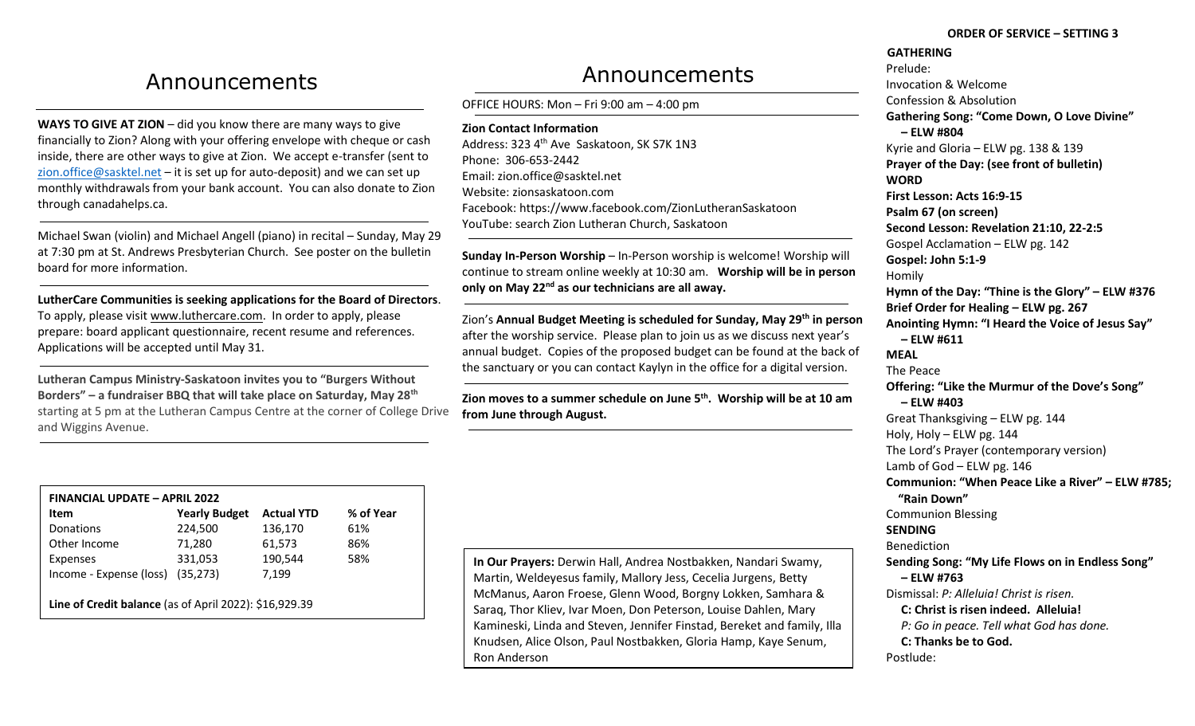# Announcements

**WAYS TO GIVE AT ZION** – did you know there are many ways to give financially to Zion? Along with your offering envelope with cheque or cash inside, there are other ways to give at Zion. We accept e-transfer (sent to [zion.office@sasktel.net](mailto:zion.office@sasktel.net) – it is set up for auto-deposit) and we can set up monthly withdrawals from your bank account. You can also donate to Zion through canadahelps.ca.

Michael Swan (violin) and Michael Angell (piano) in recital – Sunday, May 29 at 7:30 pm at St. Andrews Presbyterian Church. See poster on the bulletin board for more information.

**LutherCare Communities is seeking applications for the Board of Directors**. To apply, please visit [www.luthercare.com.](http://www.luthercare.com/) In order to apply, please prepare: board applicant questionnaire, recent resume and references. Applications will be accepted until May 31.

**Lutheran Campus Ministry-Saskatoon invites you to "Burgers Without Borders" – a fundraiser BBQ that will take place on Saturday, May 28th** starting at 5 pm at the Lutheran Campus Centre at the corner of College Drive and Wiggins Avenue.

| Announcements |
|---------------|
|---------------|

OFFICE HOURS: Mon – Fri 9:00 am – 4:00 pm

**Zion Contact Information** Address: 323 4<sup>th</sup> Ave Saskatoon, SK S7K 1N3 Phone: 306-653-2442 Email[: zion.office@sasktel.net](mailto:zion.office@sasktel.net) Website: zionsaskatoon.com Facebook:<https://www.facebook.com/ZionLutheranSaskatoon> YouTube[: search](https://www.youtube.com/channel/UCo7oFRb9WluqtWmHpv-yVgw) Zion Lutheran Church, Saskatoon

**Sunday In-Person Worship** – In-Person worship is welcome! Worship will continue to stream online weekly at 10:30 am. **Worship will be in person only on May 22nd as our technicians are all away.** 

Zion's **Annual Budget Meeting is scheduled for Sunday, May 29th in person** after the worship service. Please plan to join us as we discuss next year's annual budget. Copies of the proposed budget can be found at the back of the sanctuary or you can contact Kaylyn in the office for a digital version.

**Zion moves to a summer schedule on June 5th. Worship will be at 10 am from June through August.** 

| <b>FINANCIAL UPDATE - APRIL 2022</b>                   |                      |                   |           |  |
|--------------------------------------------------------|----------------------|-------------------|-----------|--|
| Item                                                   | <b>Yearly Budget</b> | <b>Actual YTD</b> | % of Year |  |
| Donations                                              | 224,500              | 136,170           | 61%       |  |
| Other Income                                           | 71,280               | 61,573            | 86%       |  |
| Expenses                                               | 331,053              | 190,544           | 58%       |  |
| Income - Expense (loss)                                | (35, 273)            | 7,199             |           |  |
|                                                        |                      |                   |           |  |
| Line of Credit balance (as of April 2022): \$16,929.39 |                      |                   |           |  |

**In Our Prayers:** Derwin Hall, Andrea Nostbakken, Nandari Swamy, Martin, Weldeyesus family, Mallory Jess, Cecelia Jurgens, Betty McManus, Aaron Froese, Glenn Wood, Borgny Lokken, Samhara & Saraq, Thor Kliev, Ivar Moen, Don Peterson, Louise Dahlen, Mary Kamineski, Linda and Steven, Jennifer Finstad, Bereket and family, Illa Knudsen, Alice Olson, Paul Nostbakken, Gloria Hamp, Kaye Senum, Ron Anderson

#### **ORDER OF SERVICE – SETTING 3**

**GATHERING** Prelude: Invocation & Welcome Confession & Absolution **Gathering Song: "Come Down, O Love Divine" – ELW #804** Kyrie and Gloria – ELW pg. 138 & 139 **Prayer of the Day: (see front of bulletin) WORD First Lesson: Acts 16:9-15 Psalm 67 (on screen) Second Lesson: Revelation 21:10, 22-2:5** Gospel Acclamation – ELW pg. 142 **Gospel: John 5:1-9** Homily **Hymn of the Day: "Thine is the Glory" – ELW #376 Brief Order for Healing – ELW pg. 267 Anointing Hymn: "I Heard the Voice of Jesus Say" – ELW #611 MEAL** The Peace **Offering: "Like the Murmur of the Dove's Song" – ELW #403** Great Thanksgiving – ELW pg. 144 Holy, Holy – ELW pg. 144 The Lord's Prayer (contemporary version) Lamb of God – ELW pg. 146 **Communion: "When Peace Like a River" – ELW #785; "Rain Down"** Communion Blessing **SENDING** Benediction **Sending Song: "My Life Flows on in Endless Song" – ELW #763** Dismissal: *P: Alleluia! Christ is risen.*  **C: Christ is risen indeed. Alleluia!** *P: Go in peace. Tell what God has done.* **C: Thanks be to God.**  Postlude: